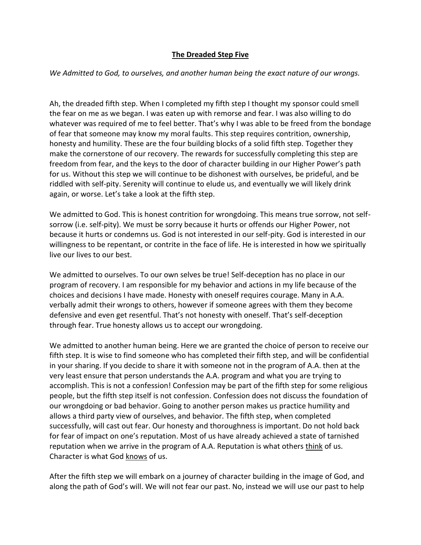## **The Dreaded Step Five**

## *We Admitted to God, to ourselves, and another human being the exact nature of our wrongs.*

Ah, the dreaded fifth step. When I completed my fifth step I thought my sponsor could smell the fear on me as we began. I was eaten up with remorse and fear. I was also willing to do whatever was required of me to feel better. That's why I was able to be freed from the bondage of fear that someone may know my moral faults. This step requires contrition, ownership, honesty and humility. These are the four building blocks of a solid fifth step. Together they make the cornerstone of our recovery. The rewards for successfully completing this step are freedom from fear, and the keys to the door of character building in our Higher Power's path for us. Without this step we will continue to be dishonest with ourselves, be prideful, and be riddled with self-pity. Serenity will continue to elude us, and eventually we will likely drink again, or worse. Let's take a look at the fifth step.

We admitted to God. This is honest contrition for wrongdoing. This means true sorrow, not selfsorrow (i.e. self-pity). We must be sorry because it hurts or offends our Higher Power, not because it hurts or condemns us. God is not interested in our self-pity. God is interested in our willingness to be repentant, or contrite in the face of life. He is interested in how we spiritually live our lives to our best.

We admitted to ourselves. To our own selves be true! Self-deception has no place in our program of recovery. I am responsible for my behavior and actions in my life because of the choices and decisions I have made. Honesty with oneself requires courage. Many in A.A. verbally admit their wrongs to others, however if someone agrees with them they become defensive and even get resentful. That's not honesty with oneself. That's self-deception through fear. True honesty allows us to accept our wrongdoing.

We admitted to another human being. Here we are granted the choice of person to receive our fifth step. It is wise to find someone who has completed their fifth step, and will be confidential in your sharing. If you decide to share it with someone not in the program of A.A. then at the very least ensure that person understands the A.A. program and what you are trying to accomplish. This is not a confession! Confession may be part of the fifth step for some religious people, but the fifth step itself is not confession. Confession does not discuss the foundation of our wrongdoing or bad behavior. Going to another person makes us practice humility and allows a third party view of ourselves, and behavior. The fifth step, when completed successfully, will cast out fear. Our honesty and thoroughness is important. Do not hold back for fear of impact on one's reputation. Most of us have already achieved a state of tarnished reputation when we arrive in the program of A.A. Reputation is what others think of us. Character is what God knows of us.

After the fifth step we will embark on a journey of character building in the image of God, and along the path of God's will. We will not fear our past. No, instead we will use our past to help